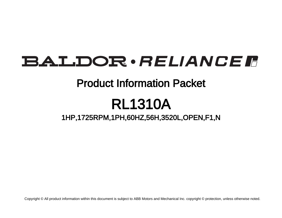# BALDOR · RELIANCE F

## Product Information Packet

# RL1310A

1HP,1725RPM,1PH,60HZ,56H,3520L,OPEN,F1,N

Copyright © All product information within this document is subject to ABB Motors and Mechanical Inc. copyright © protection, unless otherwise noted.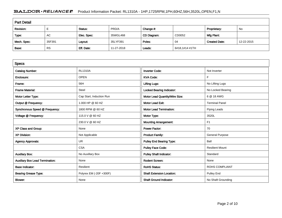### BALDOR · RELIANCE F Product Information Packet: RL1310A - 1HP,1725RPM,1PH,60HZ,56H,3520L,OPEN,F1,N

| <b>Part Detail</b> |           |             |            |             |                |                      |            |  |
|--------------------|-----------|-------------|------------|-------------|----------------|----------------------|------------|--|
| Revision:          |           | Status:     | PRD/A      | Change #:   |                | Proprietary:         | No         |  |
| Type:              | AC        | Elec. Spec: | 35WGL468   | CD Diagram: | CD0052         | Mfg Plant:           |            |  |
| Mech. Spec:        | 35F391    | Layout:     | 35LYF391   | Poles:      | -04            | <b>Created Date:</b> | 12-22-2015 |  |
| Base:              | <b>RS</b> | Eff. Date:  | 11-27-2018 | Leads:      | 6#18,1#14 #1TH |                      |            |  |

| <b>Specs</b>                           |                          |                                  |                        |
|----------------------------------------|--------------------------|----------------------------------|------------------------|
| <b>Catalog Number:</b>                 | <b>RL1310A</b>           | <b>Inverter Code:</b>            | Not Inverter           |
| Enclosure:                             | <b>OPEN</b>              | <b>KVA Code:</b>                 | F                      |
| Frame:                                 | 56H                      | <b>Lifting Lugs:</b>             | No Lifting Lugs        |
| <b>Frame Material:</b>                 | Steel                    | <b>Locked Bearing Indicator:</b> | No Locked Bearing      |
| Motor Letter Type:                     | Cap Start, Induction Run | Motor Lead Quantity/Wire Size:   | 6 @ 18 AWG             |
| Output @ Frequency:                    | 1.000 HP @ 60 HZ         | <b>Motor Lead Exit:</b>          | <b>Terminal Panel</b>  |
| Synchronous Speed @ Frequency:         | 1800 RPM @ 60 HZ         | <b>Motor Lead Termination:</b>   | <b>Flying Leads</b>    |
| Voltage @ Frequency:                   | 115.0 V @ 60 HZ          | Motor Type:                      | 3520L                  |
|                                        | 230.0 V @ 60 HZ          | <b>Mounting Arrangement:</b>     | F1                     |
| XP Class and Group:                    | None                     | <b>Power Factor:</b>             | 70                     |
| <b>XP Division:</b>                    | Not Applicable           | <b>Product Family:</b>           | <b>General Purpose</b> |
| <b>Agency Approvals:</b>               | <b>UR</b>                | <b>Pulley End Bearing Type:</b>  | Ball                   |
|                                        | <b>CSA</b>               | <b>Pulley Face Code:</b>         | <b>Resilient Mount</b> |
| <b>Auxillary Box:</b>                  | No Auxillary Box         | <b>Pulley Shaft Indicator:</b>   | Standard               |
| <b>Auxillary Box Lead Termination:</b> | None                     | <b>Rodent Screen:</b>            | None                   |
| <b>Base Indicator:</b>                 | Resilient                | <b>RoHS Status:</b>              | <b>ROHS COMPLIANT</b>  |
| <b>Bearing Grease Type:</b>            | Polyrex EM (-20F +300F)  | <b>Shaft Extension Location:</b> | Pulley End             |
| Blower:                                | None                     | <b>Shaft Ground Indicator:</b>   | No Shaft Grounding     |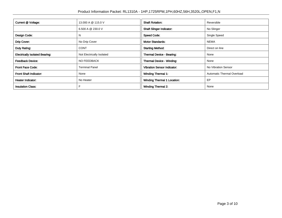| Current @ Voltage:                    | 13.000 A @ 115.0 V        | <b>Shaft Rotation:</b>             | Reversible                 |
|---------------------------------------|---------------------------|------------------------------------|----------------------------|
|                                       | 6.500 A @ 230.0 V         | <b>Shaft Slinger Indicator:</b>    | No Slinger                 |
| Design Code:                          | N                         | <b>Speed Code:</b>                 | Single Speed               |
| Drip Cover:                           | No Drip Cover             | <b>Motor Standards:</b>            | <b>NEMA</b>                |
| Duty Rating:                          | <b>CONT</b>               | <b>Starting Method:</b>            | Direct on line             |
| <b>Electrically Isolated Bearing:</b> | Not Electrically Isolated | Thermal Device - Bearing:          | None                       |
| <b>Feedback Device:</b>               | NO FEEDBACK               | Thermal Device - Winding:          | None                       |
| <b>Front Face Code:</b>               | <b>Terminal Panel</b>     | <b>Vibration Sensor Indicator:</b> | No Vibration Sensor        |
| Front Shaft Indicator:                | None                      | <b>Winding Thermal 1:</b>          | Automatic Thermal Overload |
| Heater Indicator:                     | No Heater                 | <b>Winding Thermal 1 Location:</b> | EP                         |
| <b>Insulation Class:</b>              |                           | <b>Winding Thermal 2:</b>          | None                       |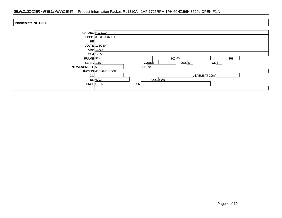### BALDOR · RELIANCE F Product Information Packet: RL1310A - 1HP,1725RPM,1PH,60HZ,56H,3520L,OPEN,F1,N

| Nameplate NP1257L  |                                 |
|--------------------|---------------------------------|
|                    | <b>CAT.NO. RL1310A</b>          |
|                    | SPEC. 35F391L468G1              |
| HP                 |                                 |
|                    | <b>VOLTS</b> 115/230            |
|                    | AMP   13/6.5                    |
| $RPM$ 1725         |                                 |
| $FRAME$ 56H        | $HZ$ 60<br>PH 1                 |
| <b>SER.F.</b> 1.15 | $CL$ $F$<br>$CODE$ $F$<br>DES N |
| NEMA-NOM-EFF 68    | PF 70                           |
|                    | RATING 40C AMB-CONT             |
| CC                 | USABLE AT 208V                  |
|                    | $ODE$ 6203<br>$DE$ 6203         |
|                    | <b>SN</b><br><b>ENCL</b> OPEN   |
|                    |                                 |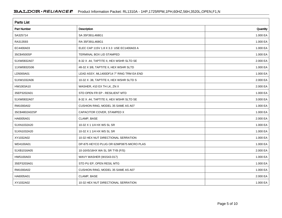| <b>Parts List</b>  |                                          |          |  |  |  |
|--------------------|------------------------------------------|----------|--|--|--|
| <b>Part Number</b> | Description                              | Quantity |  |  |  |
| SA325714           | SA 35F391L468G1                          | 1.000 EA |  |  |  |
| RA313593           | RA 35F391L468G1                          | 1.000 EA |  |  |  |
| EC4400A03          | ELEC CAP 115V 1.8 X 3.3 USE EC1400A03 A  | 1.000 EA |  |  |  |
| 35CB4500SP         | TERMINAL BOX LID STAMPED                 | 1.000 EA |  |  |  |
| 51XW0832A07        | 8-32 X .44, TAPTITE II, HEX WSHR SLTD SE | 2.000 EA |  |  |  |
| 11XW0832G06        | #8-32 X 3/8, TAPTITE II, HEX WSHR SLTD   | 1.000 EA |  |  |  |
| LD5000A01          | LEAD ASSY, ML1400DF14 7" RING TRM EA END | 1.000 EA |  |  |  |
| 51XW1032A06        | 10-32 X .38, TAPTITE II, HEX WSHR SLTD S | 2.000 EA |  |  |  |
| HW1003A10          | WASHER, #10 EX TH LK, ZN X               | 2.000 EA |  |  |  |
| 35EP3202A01        | STD OPEN FR EP - RESILIENT MTD           | 1.000 EA |  |  |  |
| 51XW0832A07        | 8-32 X .44, TAPTITE II, HEX WSHR SLTD SE | 3.000 EA |  |  |  |
| RM1000A02          | CUSHION RING, MODEL 35 SAME AS A07       | 1.000 EA |  |  |  |
| 35CB4802A02SP      | CAPACITOR COVER, STAMPED X               | 1.000 EA |  |  |  |
| HA6005A01          | CLAMP, BASE                              | 2.000 EA |  |  |  |
| 51XN1032A20        | 10-32 X 1 1/4 HX WS SL SR                | 1.000 EA |  |  |  |
| 51XN1032A20        | 10-32 X 1 1/4 HX WS SL SR                | 1.000 EA |  |  |  |
| XY1032A02          | 10-32 HEX NUT DIRECTIONAL SERRATION      | 1.000 EA |  |  |  |
| WD4100A01          | DP-875 HEYCO PLUG OR 62MP0875 MICRO PLAS | 1.000 EA |  |  |  |
| 51XB1016A05        | 10-16X5/16HX WA SL SR TYB (F/S)          | 2.000 EA |  |  |  |
| HW5100A03          | WAVY WASHER (W1543-017)                  | 1.000 EA |  |  |  |
| 35EP3203A01        | STD PU EP, OPEN RESIL MTG                | 1.000 EA |  |  |  |
| RM1000A02          | CUSHION RING, MODEL 35 SAME AS A07       | 1.000 EA |  |  |  |
| HA6005A01          | CLAMP, BASE                              | 2.000 EA |  |  |  |
| XY1032A02          | 10-32 HEX NUT DIRECTIONAL SERRATION      | 1.000 EA |  |  |  |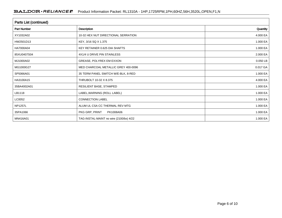| <b>Parts List (continued)</b> |                                         |          |  |  |  |
|-------------------------------|-----------------------------------------|----------|--|--|--|
| <b>Part Number</b>            | Description                             |          |  |  |  |
| XY1032A02                     | 10-32 HEX NUT DIRECTIONAL SERRATION     | 4.000 EA |  |  |  |
| HW2501D13                     | KEY, 3/16 SQ X 1.375                    | 1.000 EA |  |  |  |
| HA7000A04                     | KEY RETAINER 0.625 DIA SHAFTS           | 1.000 EA |  |  |  |
| 85XU0407S04                   | 4X1/4 U DRIVE PIN STAINLESS             | 2.000 EA |  |  |  |
| MJ1000A02                     | GREASE, POLYREX EM EXXON                | 0.050 LB |  |  |  |
| MG1000G27                     | MED CHARCOAL METALLIC GREY 400-0096     | 0.017 GA |  |  |  |
| SP5066A01                     | 35 TERM PANEL SWITCH W/E-BLK, 8-RED     | 1.000 EA |  |  |  |
| HA3100A15                     | THRUBOLT 10-32 X 8.375                  | 4.000 EA |  |  |  |
| 35BA4002A01                   | RESILIENT BASE, STAMPED                 | 1.000 EA |  |  |  |
| LB1118                        | LABEL, WARNING (ROLL LABEL)             | 1.000 EA |  |  |  |
| LC0052                        | <b>CONNECTION LABEL</b>                 | 1.000 EA |  |  |  |
| <b>NP1257L</b>                | ALUM UL CSA CC THERMAL REV MTG          | 1.000 EA |  |  |  |
| 35PA1066                      | PKG GRP, PRINT<br>PK1008A06             | 1.000 EA |  |  |  |
| MN416A01                      | TAG-INSTAL-MAINT no wire (2100/bx) 4/22 | 1.000 EA |  |  |  |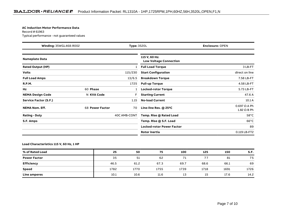#### **AC Induction Motor Performance Data**

Record # 61963Typical performance - not guaranteed values

|                          | Type: 3520L<br><b>Winding: 35WGL468-R002</b> |              | <b>Enclosure: OPEN</b>                         |                                           |
|--------------------------|----------------------------------------------|--------------|------------------------------------------------|-------------------------------------------|
| <b>Nameplate Data</b>    |                                              |              | 115 V, 60 Hz:<br><b>Low Voltage Connection</b> |                                           |
| <b>Rated Output (HP)</b> |                                              | $\mathbf{1}$ | <b>Full Load Torque</b>                        | 3 LB-FT                                   |
| <b>Volts</b>             |                                              | 115/230      | <b>Start Configuration</b>                     | direct on line                            |
| <b>Full Load Amps</b>    |                                              | 13/6.5       | <b>Breakdown Torque</b>                        | 7.58 LB-FT                                |
| <b>R.P.M.</b>            |                                              | 1725         | <b>Pull-up Torque</b>                          | 4.58 LB-FT                                |
| Hz                       | 60 Phase                                     |              | <b>Locked-rotor Torque</b>                     | 5.73 LB-FT                                |
| <b>NEMA Design Code</b>  | N KVA Code                                   | F            | <b>Starting Current</b>                        | 47.6 A                                    |
| Service Factor (S.F.)    |                                              | 1.15         | <b>No-load Current</b>                         | 10.1A                                     |
| <b>NEMA Nom. Eff.</b>    | 68 Power Factor                              | 70           | Line-line Res. @ 25°C                          | $0.697 \Omega$ A Ph<br>$1.82 \Omega B Ph$ |
| <b>Rating - Duty</b>     |                                              | 40C AMB-CONT | Temp. Rise @ Rated Load                        | $58^{\circ}$ C                            |
| S.F. Amps                |                                              |              | Temp. Rise @ S.F. Load                         | $66^{\circ}$ C                            |
|                          |                                              |              | <b>Locked-rotor Power Factor</b>               | 89                                        |
|                          |                                              |              | Rotor inertia                                  | 0.119 LB-FT2                              |

#### **Load Characteristics 115 V, 60 Hz, 1 HP**

| % of Rated Load     | 25   | 50   | 75   | 100  | 125  | 150  | S.F. |
|---------------------|------|------|------|------|------|------|------|
| <b>Power Factor</b> | 35   | 51   | 62   | 71   |      | 81   | 75   |
| <b>Efficiency</b>   | 46.5 | 61.2 | 67.3 | 69.7 | 68.6 | 66.1 | 69   |
| Speed               | 1782 | 1770 | 1755 | 1739 | 1718 | 1691 | 1726 |
| <b>Line amperes</b> | 10.1 | 10.6 | 11.6 | 13   | 15   | 17.6 | 14.2 |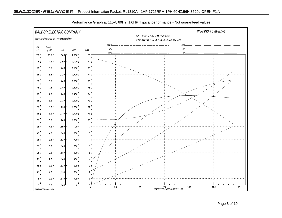

Performance Graph at 115V, 60Hz, 1.0HP Typical performance - Not guaranteed values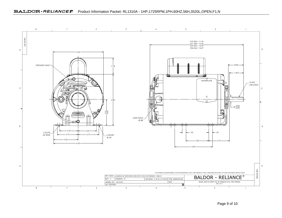

Page 9 of 10